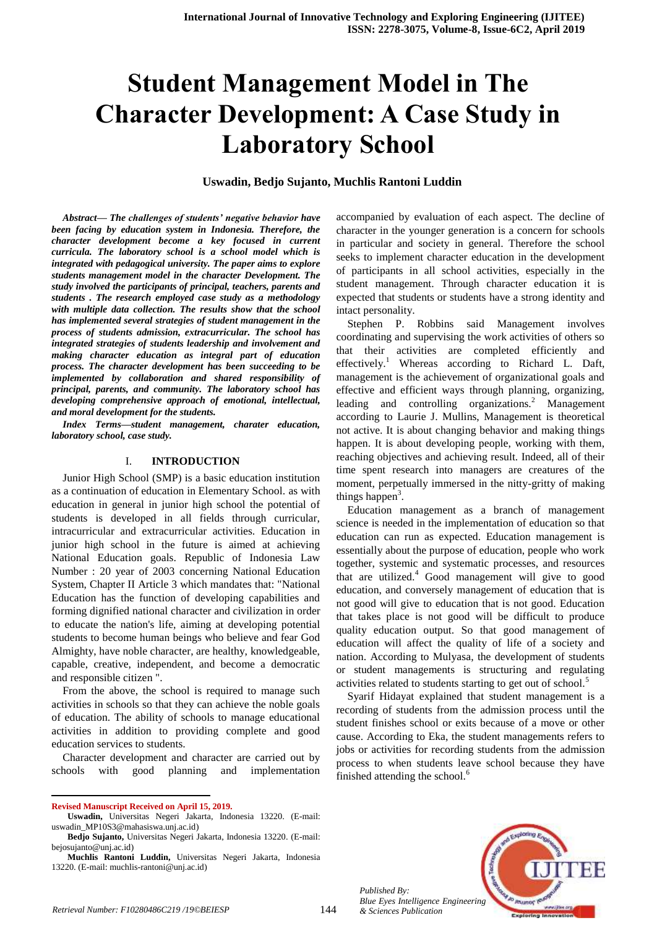# **Student Management Model in The Character Development: A Case Study in Laboratory School**

### **Uswadin, Bedjo Sujanto, Muchlis Rantoni Luddin**

*Abstract— The challenges of students' negative behavior have been facing by education system in Indonesia. Therefore, the character development become a key focused in current curricula. The laboratory school is a school model which is integrated with pedagogical university. The paper aims to explore students management model in the character Development. The study involved the participants of principal, teachers, parents and students . The research employed case study as a methodology with multiple data collection. The results show that the school has implemented several strategies of student management in the process of students admission, extracurricular. The school has integrated strategies of students leadership and involvement and making character education as integral part of education process. The character development has been succeeding to be implemented by collaboration and shared responsibility of principal, parents, and community. The laboratory school has developing comprehensive approach of emotional, intellectual, and moral development for the students.* 

*Index Terms—student management, charater education, laboratory school, case study.*

#### I. **INTRODUCTION**

Junior High School (SMP) is a basic education institution as a continuation of education in Elementary School. as with education in general in junior high school the potential of students is developed in all fields through curricular, intracurricular and extracurricular activities. Education in junior high school in the future is aimed at achieving National Education goals. Republic of Indonesia Law Number : 20 year of 2003 concerning National Education System, Chapter II Article 3 which mandates that: "National Education has the function of developing capabilities and forming dignified national character and civilization in order to educate the nation's life, aiming at developing potential students to become human beings who believe and fear God Almighty, have noble character, are healthy, knowledgeable, capable, creative, independent, and become a democratic and responsible citizen ".

From the above, the school is required to manage such activities in schools so that they can achieve the noble goals of education. The ability of schools to manage educational activities in addition to providing complete and good education services to students.

Character development and character are carried out by schools with good planning and implementation

 $\overline{a}$ 

accompanied by evaluation of each aspect. The decline of character in the younger generation is a concern for schools in particular and society in general. Therefore the school seeks to implement character education in the development of participants in all school activities, especially in the student management. Through character education it is expected that students or students have a strong identity and intact personality.

Stephen P. Robbins said Management involves coordinating and supervising the work activities of others so that their activities are completed efficiently and effectively.<sup>1</sup> Whereas according to Richard L. Daft, management is the achievement of organizational goals and effective and efficient ways through planning, organizing, leading and controlling organizations. $2$  Management according to Laurie J. Mullins, Management is theoretical not active. It is about changing behavior and making things happen. It is about developing people, working with them, reaching objectives and achieving result. Indeed, all of their time spent research into managers are creatures of the moment, perpetually immersed in the nitty-gritty of making things happen<sup>3</sup>.

Education management as a branch of management science is needed in the implementation of education so that education can run as expected. Education management is essentially about the purpose of education, people who work together, systemic and systematic processes, and resources that are utilized. $4\text{ Good management will give to good}$ education, and conversely management of education that is not good will give to education that is not good. Education that takes place is not good will be difficult to produce quality education output. So that good management of education will affect the quality of life of a society and nation. According to Mulyasa, the development of students or student managements is structuring and regulating activities related to students starting to get out of school.<sup>5</sup>

Syarif Hidayat explained that student management is a recording of students from the admission process until the student finishes school or exits because of a move or other cause. According to Eka, the student managements refers to jobs or activities for recording students from the admission process to when students leave school because they have finished attending the school.<sup>6</sup>



144

**Revised Manuscript Received on April 15, 2019.**

**Uswadin,** Universitas Negeri Jakarta, Indonesia 13220. (E-mail: uswadin\_MP10S3@mahasiswa.unj.ac.id)

**Bedjo Sujanto,** Universitas Negeri Jakarta, Indonesia 13220. (E-mail: bejosujanto@unj.ac.id)

**Muchlis Rantoni Luddin,** Universitas Negeri Jakarta, Indonesia 13220. (E-mail: muchlis-rantoni@unj.ac.id)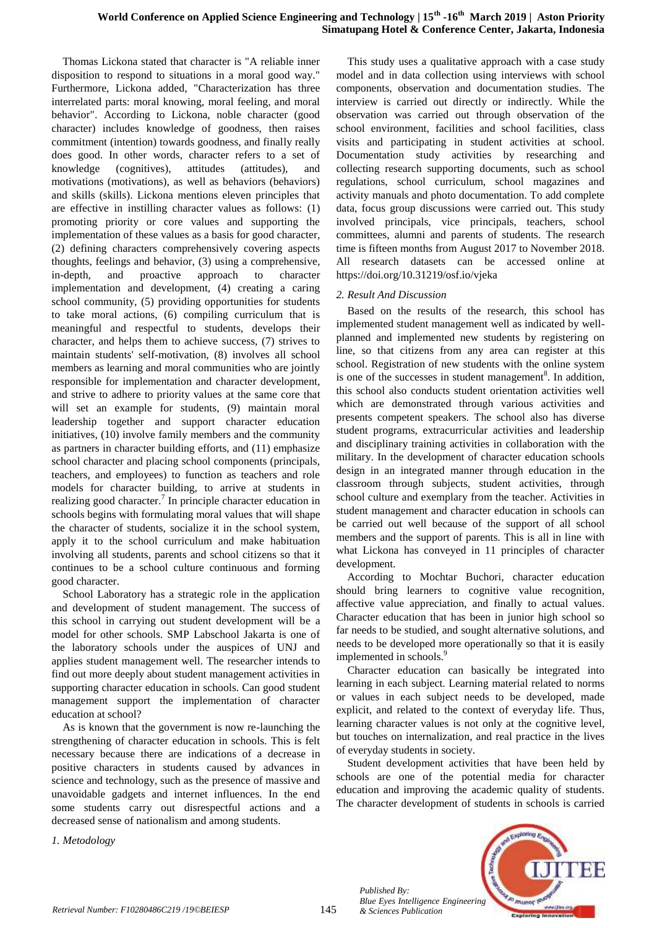Thomas Lickona stated that character is "A reliable inner disposition to respond to situations in a moral good way." Furthermore, Lickona added, "Characterization has three interrelated parts: moral knowing, moral feeling, and moral behavior". According to Lickona, noble character (good character) includes knowledge of goodness, then raises commitment (intention) towards goodness, and finally really does good. In other words, character refers to a set of knowledge (cognitives), attitudes (attitudes), and motivations (motivations), as well as behaviors (behaviors) and skills (skills). Lickona mentions eleven principles that are effective in instilling character values as follows: (1) promoting priority or core values and supporting the implementation of these values as a basis for good character, (2) defining characters comprehensively covering aspects thoughts, feelings and behavior, (3) using a comprehensive, in-depth, and proactive approach to character implementation and development, (4) creating a caring school community, (5) providing opportunities for students to take moral actions, (6) compiling curriculum that is meaningful and respectful to students, develops their character, and helps them to achieve success, (7) strives to maintain students' self-motivation, (8) involves all school members as learning and moral communities who are jointly responsible for implementation and character development, and strive to adhere to priority values at the same core that will set an example for students, (9) maintain moral leadership together and support character education initiatives, (10) involve family members and the community as partners in character building efforts, and (11) emphasize school character and placing school components (principals, teachers, and employees) to function as teachers and role models for character building, to arrive at students in realizing good character.<sup>7</sup> In principle character education in schools begins with formulating moral values that will shape the character of students, socialize it in the school system, apply it to the school curriculum and make habituation involving all students, parents and school citizens so that it continues to be a school culture continuous and forming good character.

School Laboratory has a strategic role in the application and development of student management. The success of this school in carrying out student development will be a model for other schools. SMP Labschool Jakarta is one of the laboratory schools under the auspices of UNJ and applies student management well. The researcher intends to find out more deeply about student management activities in supporting character education in schools. Can good student management support the implementation of character education at school?

As is known that the government is now re-launching the strengthening of character education in schools. This is felt necessary because there are indications of a decrease in positive characters in students caused by advances in science and technology, such as the presence of massive and unavoidable gadgets and internet influences. In the end some students carry out disrespectful actions and a decreased sense of nationalism and among students.

*1. Metodology*

This study uses a qualitative approach with a case study model and in data collection using interviews with school components, observation and documentation studies. The interview is carried out directly or indirectly. While the observation was carried out through observation of the school environment, facilities and school facilities, class visits and participating in student activities at school. Documentation study activities by researching and collecting research supporting documents, such as school regulations, school curriculum, school magazines and activity manuals and photo documentation. To add complete data, focus group discussions were carried out. This study involved principals, vice principals, teachers, school committees, alumni and parents of students. The research time is fifteen months from August 2017 to November 2018. All research datasets can be accessed online at <https://doi.org/10.31219/osf.io/vjeka>

## *2. Result And Discussion*

Based on the results of the research, this school has implemented student management well as indicated by wellplanned and implemented new students by registering on line, so that citizens from any area can register at this school. Registration of new students with the online system is one of the successes in student management<sup>8</sup>. In addition, this school also conducts student orientation activities well which are demonstrated through various activities and presents competent speakers. The school also has diverse student programs, extracurricular activities and leadership and disciplinary training activities in collaboration with the military. In the development of character education schools design in an integrated manner through education in the classroom through subjects, student activities, through school culture and exemplary from the teacher. Activities in student management and character education in schools can be carried out well because of the support of all school members and the support of parents. This is all in line with what Lickona has conveyed in 11 principles of character development.

According to Mochtar Buchori, character education should bring learners to cognitive value recognition, affective value appreciation, and finally to actual values. Character education that has been in junior high school so far needs to be studied, and sought alternative solutions, and needs to be developed more operationally so that it is easily implemented in schools.<sup>9</sup>

Character education can basically be integrated into learning in each subject. Learning material related to norms or values in each subject needs to be developed, made explicit, and related to the context of everyday life. Thus, learning character values is not only at the cognitive level, but touches on internalization, and real practice in the lives of everyday students in society.

Student development activities that have been held by schools are one of the potential media for character education and improving the academic quality of students. The character development of students in schools is carried



*Published By: Blue Eyes Intelligence Engineering*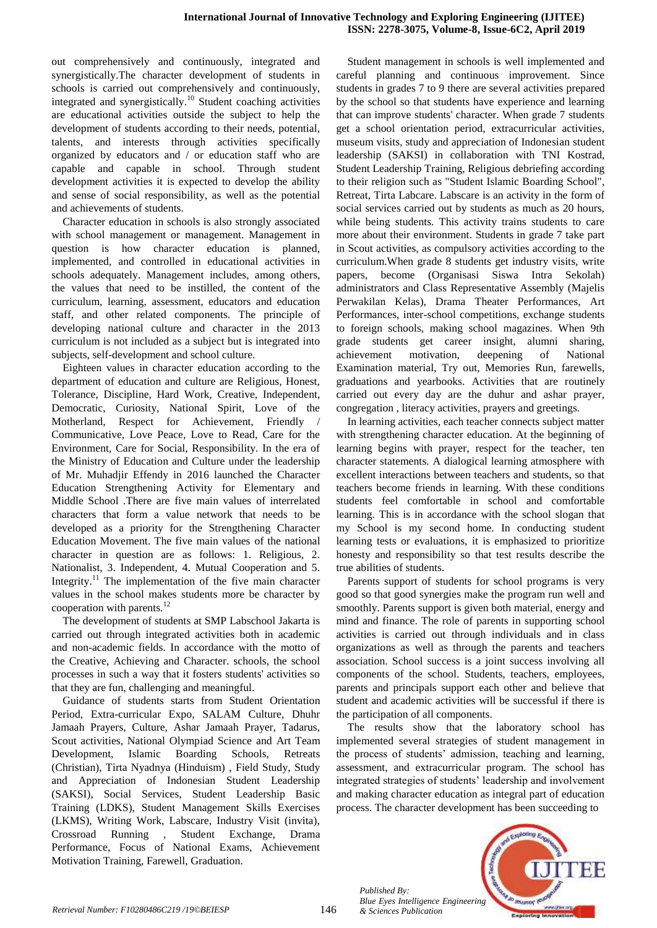out comprehensively and continuously, integrated and synergistically.The character development of students in schools is carried out comprehensively and continuously, integrated and synergistically.<sup>10</sup> Student coaching activities are educational activities outside the subject to help the development of students according to their needs, potential, talents, and interests through activities specifically organized by educators and / or education staff who are capable and capable in school. Through student development activities it is expected to develop the ability and sense of social responsibility, as well as the potential and achievements of students.

Character education in schools is also strongly associated with school management or management. Management in question is how character education is planned, implemented, and controlled in educational activities in schools adequately. Management includes, among others, the values that need to be instilled, the content of the curriculum, learning, assessment, educators and education staff, and other related components. The principle of developing national culture and character in the 2013 curriculum is not included as a subject but is integrated into subjects, self-development and school culture.

Eighteen values in character education according to the department of education and culture are Religious, Honest, Tolerance, Discipline, Hard Work, Creative, Independent, Democratic, Curiosity, National Spirit, Love of the Motherland, Respect for Achievement, Friendly Communicative, Love Peace, Love to Read, Care for the Environment, Care for Social, Responsibility. In the era of the Ministry of Education and Culture under the leadership of Mr. Muhadjir Effendy in 2016 launched the Character Education Strengthening Activity for Elementary and Middle School .There are five main values of interrelated characters that form a value network that needs to be developed as a priority for the Strengthening Character Education Movement. The five main values of the national character in question are as follows: 1. Religious, 2. Nationalist, 3. Independent, 4. Mutual Cooperation and 5. Integrity.<sup>11</sup> The implementation of the five main character values in the school makes students more be character by cooperation with parents.<sup>12</sup>

The development of students at SMP Labschool Jakarta is carried out through integrated activities both in academic and non-academic fields. In accordance with the motto of the Creative, Achieving and Character. schools, the school processes in such a way that it fosters students' activities so that they are fun, challenging and meaningful.

Guidance of students starts from Student Orientation Period, Extra-curricular Expo, SALAM Culture, Dhuhr Jamaah Prayers, Culture, Ashar Jamaah Prayer, Tadarus, Scout activities, National Olympiad Science and Art Team Development, Islamic Boarding Schools, Retreats (Christian), Tirta Nyadnya (Hinduism) , Field Study, Study and Appreciation of Indonesian Student Leadership (SAKSI), Social Services, Student Leadership Basic Training (LDKS), Student Management Skills Exercises (LKMS), Writing Work, Labscare, Industry Visit (invita), Crossroad Running , Student Exchange, Drama Performance, Focus of National Exams, Achievement Motivation Training, Farewell, Graduation.

Student management in schools is well implemented and careful planning and continuous improvement. Since students in grades 7 to 9 there are several activities prepared by the school so that students have experience and learning that can improve students' character. When grade 7 students get a school orientation period, extracurricular activities, museum visits, study and appreciation of Indonesian student leadership (SAKSI) in collaboration with TNI Kostrad, Student Leadership Training, Religious debriefing according to their religion such as "Student Islamic Boarding School", Retreat, Tirta Labcare. Labscare is an activity in the form of social services carried out by students as much as 20 hours, while being students. This activity trains students to care more about their environment. Students in grade 7 take part in Scout activities, as compulsory activities according to the curriculum.When grade 8 students get industry visits, write papers, become (Organisasi Siswa Intra Sekolah) administrators and Class Representative Assembly (Majelis Perwakilan Kelas), Drama Theater Performances, Art Performances, inter-school competitions, exchange students to foreign schools, making school magazines. When 9th grade students get career insight, alumni sharing, achievement motivation, deepening of National Examination material, Try out, Memories Run, farewells, graduations and yearbooks. Activities that are routinely carried out every day are the duhur and ashar prayer, congregation , literacy activities, prayers and greetings.

In learning activities, each teacher connects subject matter with strengthening character education. At the beginning of learning begins with prayer, respect for the teacher, ten character statements. A dialogical learning atmosphere with excellent interactions between teachers and students, so that teachers become friends in learning. With these conditions students feel comfortable in school and comfortable learning. This is in accordance with the school slogan that my School is my second home. In conducting student learning tests or evaluations, it is emphasized to prioritize honesty and responsibility so that test results describe the true abilities of students.

Parents support of students for school programs is very good so that good synergies make the program run well and smoothly. Parents support is given both material, energy and mind and finance. The role of parents in supporting school activities is carried out through individuals and in class organizations as well as through the parents and teachers association. School success is a joint success involving all components of the school. Students, teachers, employees, parents and principals support each other and believe that student and academic activities will be successful if there is the participation of all components.

The results show that the laboratory school has implemented several strategies of student management in the process of students' admission, teaching and learning, assessment, and extracurricular program. The school has integrated strategies of students' leadership and involvement and making character education as integral part of education process. The character development has been succeeding to



*Published By: Blue Eyes Intelligence Engineering*